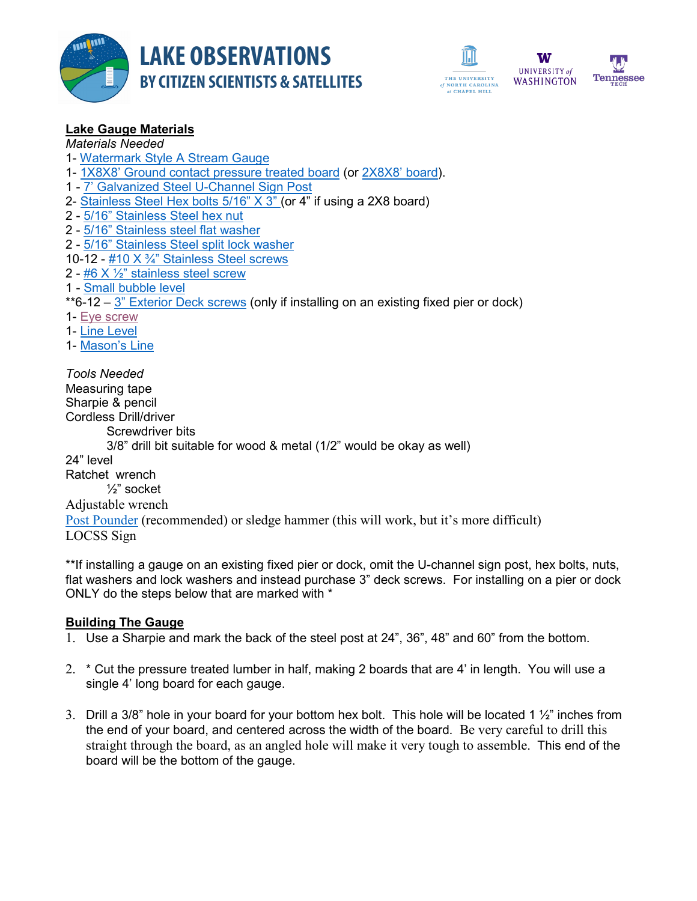





*Materials Needed*

- 1- [Watermark Style A Stream Gauge](https://www.forestry-suppliers.com/product_pages/products.php?mi=33904)
- 1- [1X8X8' Ground contact pressure treated board](https://www.homedepot.com/p/WeatherShield-1-in-x-8-in-x-8-ft-Ground-Contact-Pressure-Treated-Board-253936/206974327) (or [2X8X8' board\)](https://www.homedepot.com/p/2-in-x-8-in-x-8-ft-2-Prime-Ground-Contact-Pressure-Treated-Lumber-107523/206937455).
- 1 [7' Galvanized Steel U-Channel Sign Post](https://www.grainger.com/product/TAPCO-U-Channel-Sign-Post-39F191?internalSearchTerm=U-Channel+Sign+Post%2C+Breakaway+Feature%3A+No%2C+84%22L%2C+Steel%2C+Silver&suggestConfigId=8&searchBar=true)
- 2- [Stainless Steel Hex bolts 5/16" X 3"](https://www.homedepot.com/p/Everbilt-5-16-in-x-4-in-Stainless-Steel-Hex-Bolt-805836/204647946) (or 4" if using a 2X8 board)
- 2 [5/16" Stainless Steel hex nut](https://www.homedepot.com/p/Everbilt-5-16-in-Stainless-Steel-Hex-Nut-804886/204647951)
- 2 [5/16" Stainless steel flat washer](https://www.homedepot.com/p/Everbilt-5-16-in-Stainless-Steel-Flat-Washer-804926/204633149)
- 2 [5/16" Stainless Steel split lock washer](https://www.homedepot.com/p/Everbilt-5-16-in-Stainless-Steel-Split-Lock-Washer-5-Pack-800421/204276545)
- 10-12  $#10 X 3/4"$  Stainless Steel screws
- 2  $#6 X \frac{1}{2}$ " stainless steel screw
- 1 [Small bubble level](https://www.amazon.com/dp/B000EDSSDE/ref=sxr_rr_xsim_1?pf_rd_m=ATVPDKIKX0DER&pf_rd_p=9ddc66f6-9fc0-49ff-b2fa-06a39d9859e6&pd_rd_wg=yaJfu&pf_rd_r=JQVTC70JFHZM5GVTSQAE&pf_rd_s=desktop-rhs-carousels&pf_rd_t=301&pd_rd_i=B000EDSSDE&pd_rd_w=x2pIa&pf_rd_i=bubble+level&pd_rd_r=6c5374a0-a5ee-4b81-8d6a-3211a6f4c45b&ie=UTF8&qid=1540472303&sr=1)

\*\*6-12 – [3" Exterior Deck screws](https://www.homedepot.com/p/10-x-3-1-2-in-Star-Drive-Flat-Head-Wood-Deck-Screws-1-lb-Box-312DMT1/305418505) (only if installing on an existing fixed pier or dock)

- 1- [Eye screw](https://www.homedepot.com/p/Everbilt-10-x-1-3-8-in-Zinc-Plated-Steel-Eye-Screw-4-per-Pack-14111/202704394)
- 1- [Line Level](https://www.homedepot.com/p/Empire-3-in-Aluminum-Line-Level-93-3/100520083)
- 1- [Mason's Line](https://www.homedepot.com/p/Anvil-250-ft-Fluorescent-Orange-Braided-Nylon-Mason-s-Line-57479/303693661)

*Tools Needed* Measuring tape Sharpie & pencil Cordless Drill/driver Screwdriver bits 3/8" drill bit suitable for wood & metal (1/2" would be okay as well) 24" level Ratchet wrench ½" socket Adjustable wrench [Post Pounder](https://www.grainger.com/product/GRAINGER-APPROVED-Post-Pounder-9ANX7?cm_sp=Home-_-Products_You_Have_Recently_Viewed-_-AZHPRV_857-10693-2&cm_vc=AZHPRV_857-10693-2&req=Products_You_Have_Recently_Viewed) (recommended) or sledge hammer (this will work, but it's more difficult)

LOCSS Sign

\*\*If installing a gauge on an existing fixed pier or dock, omit the U-channel sign post, hex bolts, nuts, flat washers and lock washers and instead purchase 3" deck screws. For installing on a pier or dock ONLY do the steps below that are marked with \*

# **Building The Gauge**

- 1. Use a Sharpie and mark the back of the steel post at 24", 36", 48" and 60" from the bottom.
- 2. \* Cut the pressure treated lumber in half, making 2 boards that are 4' in length. You will use a single 4' long board for each gauge.
- 3. Drill a 3/8" hole in your board for your bottom hex bolt. This hole will be located 1 ½" inches from the end of your board, and centered across the width of the board. Be very careful to drill this straight through the board, as an angled hole will make it very tough to assemble. This end of the board will be the bottom of the gauge.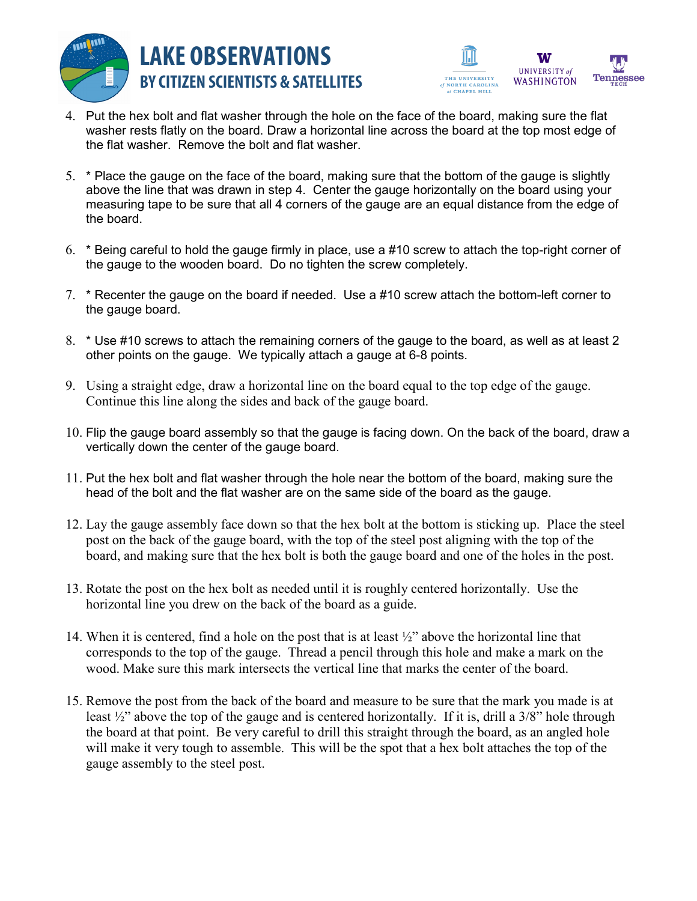



- 4. Put the hex bolt and flat washer through the hole on the face of the board, making sure the flat washer rests flatly on the board. Draw a horizontal line across the board at the top most edge of the flat washer. Remove the bolt and flat washer.
- 5. \* Place the gauge on the face of the board, making sure that the bottom of the gauge is slightly above the line that was drawn in step 4. Center the gauge horizontally on the board using your measuring tape to be sure that all 4 corners of the gauge are an equal distance from the edge of the board.
- 6. \* Being careful to hold the gauge firmly in place, use a #10 screw to attach the top-right corner of the gauge to the wooden board. Do no tighten the screw completely.
- 7. \* Recenter the gauge on the board if needed. Use a #10 screw attach the bottom-left corner to the gauge board.
- 8. \* Use #10 screws to attach the remaining corners of the gauge to the board, as well as at least 2 other points on the gauge. We typically attach a gauge at 6-8 points.
- 9. Using a straight edge, draw a horizontal line on the board equal to the top edge of the gauge. Continue this line along the sides and back of the gauge board.
- 10. Flip the gauge board assembly so that the gauge is facing down. On the back of the board, draw a vertically down the center of the gauge board.
- 11. Put the hex bolt and flat washer through the hole near the bottom of the board, making sure the head of the bolt and the flat washer are on the same side of the board as the gauge.
- 12. Lay the gauge assembly face down so that the hex bolt at the bottom is sticking up. Place the steel post on the back of the gauge board, with the top of the steel post aligning with the top of the board, and making sure that the hex bolt is both the gauge board and one of the holes in the post.
- 13. Rotate the post on the hex bolt as needed until it is roughly centered horizontally. Use the horizontal line you drew on the back of the board as a guide.
- 14. When it is centered, find a hole on the post that is at least ½" above the horizontal line that corresponds to the top of the gauge. Thread a pencil through this hole and make a mark on the wood. Make sure this mark intersects the vertical line that marks the center of the board.
- 15. Remove the post from the back of the board and measure to be sure that the mark you made is at least ½" above the top of the gauge and is centered horizontally. If it is, drill a 3/8" hole through the board at that point. Be very careful to drill this straight through the board, as an angled hole will make it very tough to assemble. This will be the spot that a hex bolt attaches the top of the gauge assembly to the steel post.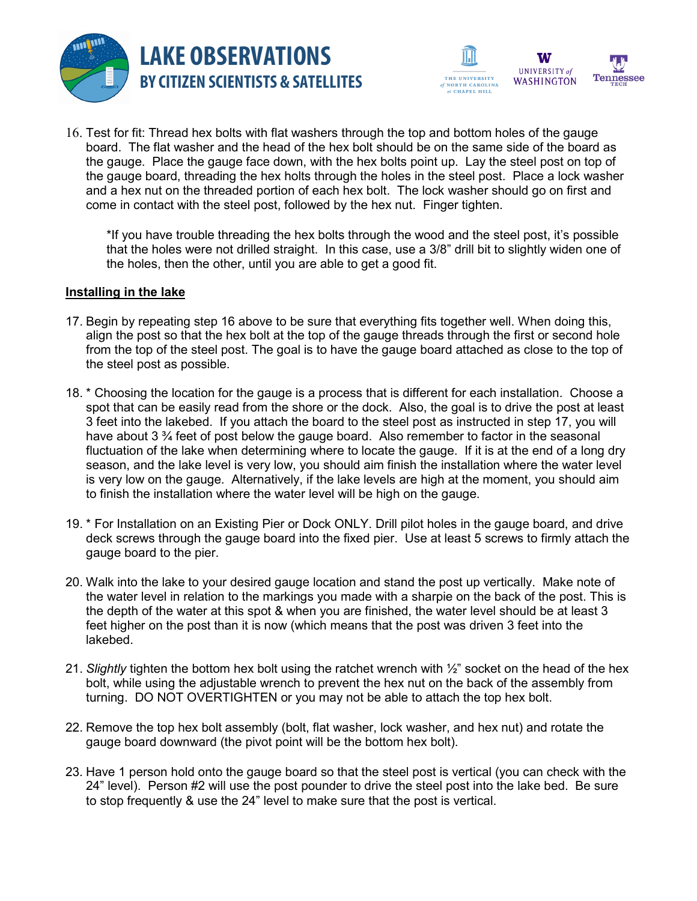



16. Test for fit: Thread hex bolts with flat washers through the top and bottom holes of the gauge board. The flat washer and the head of the hex bolt should be on the same side of the board as the gauge. Place the gauge face down, with the hex bolts point up. Lay the steel post on top of the gauge board, threading the hex holts through the holes in the steel post. Place a lock washer and a hex nut on the threaded portion of each hex bolt. The lock washer should go on first and come in contact with the steel post, followed by the hex nut. Finger tighten.

\*If you have trouble threading the hex bolts through the wood and the steel post, it's possible that the holes were not drilled straight. In this case, use a 3/8" drill bit to slightly widen one of the holes, then the other, until you are able to get a good fit.

#### **Installing in the lake**

- 17. Begin by repeating step 16 above to be sure that everything fits together well. When doing this, align the post so that the hex bolt at the top of the gauge threads through the first or second hole from the top of the steel post. The goal is to have the gauge board attached as close to the top of the steel post as possible.
- 18. \* Choosing the location for the gauge is a process that is different for each installation. Choose a spot that can be easily read from the shore or the dock. Also, the goal is to drive the post at least 3 feet into the lakebed. If you attach the board to the steel post as instructed in step 17, you will have about 3  $\frac{3}{4}$  feet of post below the gauge board. Also remember to factor in the seasonal fluctuation of the lake when determining where to locate the gauge. If it is at the end of a long dry season, and the lake level is very low, you should aim finish the installation where the water level is very low on the gauge. Alternatively, if the lake levels are high at the moment, you should aim to finish the installation where the water level will be high on the gauge.
- 19. \* For Installation on an Existing Pier or Dock ONLY. Drill pilot holes in the gauge board, and drive deck screws through the gauge board into the fixed pier. Use at least 5 screws to firmly attach the gauge board to the pier.
- 20. Walk into the lake to your desired gauge location and stand the post up vertically. Make note of the water level in relation to the markings you made with a sharpie on the back of the post. This is the depth of the water at this spot & when you are finished, the water level should be at least 3 feet higher on the post than it is now (which means that the post was driven 3 feet into the lakebed.
- 21. *Slightly* tighten the bottom hex bolt using the ratchet wrench with ½" socket on the head of the hex bolt, while using the adjustable wrench to prevent the hex nut on the back of the assembly from turning. DO NOT OVERTIGHTEN or you may not be able to attach the top hex bolt.
- 22. Remove the top hex bolt assembly (bolt, flat washer, lock washer, and hex nut) and rotate the gauge board downward (the pivot point will be the bottom hex bolt).
- 23. Have 1 person hold onto the gauge board so that the steel post is vertical (you can check with the 24" level). Person #2 will use the post pounder to drive the steel post into the lake bed. Be sure to stop frequently & use the 24" level to make sure that the post is vertical.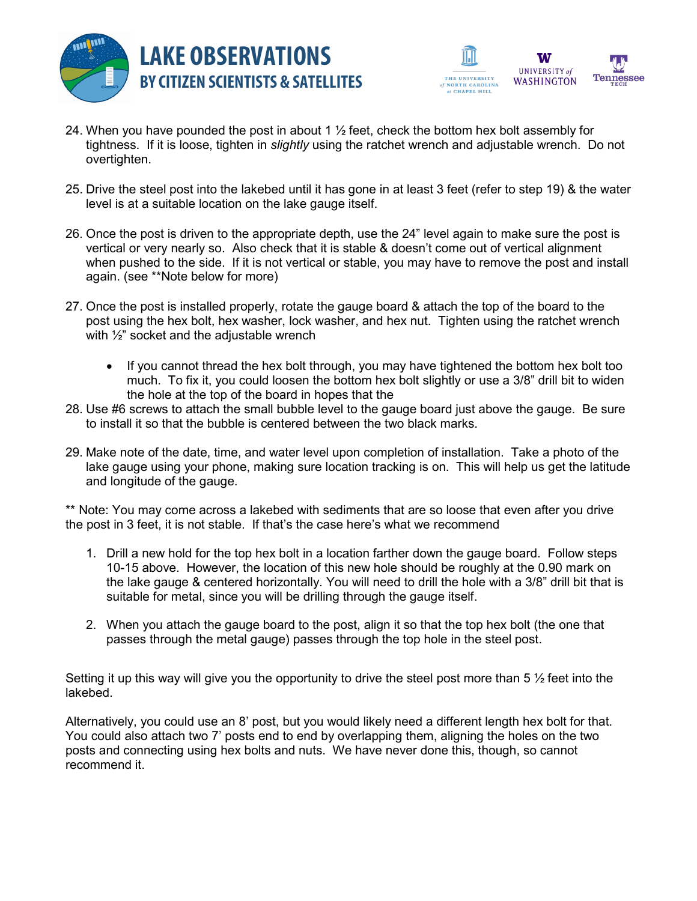



- 24. When you have pounded the post in about 1  $\frac{1}{2}$  feet, check the bottom hex bolt assembly for tightness. If it is loose, tighten in *slightly* using the ratchet wrench and adjustable wrench. Do not overtighten.
- 25. Drive the steel post into the lakebed until it has gone in at least 3 feet (refer to step 19) & the water level is at a suitable location on the lake gauge itself.
- 26. Once the post is driven to the appropriate depth, use the 24" level again to make sure the post is vertical or very nearly so. Also check that it is stable & doesn't come out of vertical alignment when pushed to the side. If it is not vertical or stable, you may have to remove the post and install again. (see \*\*Note below for more)
- 27. Once the post is installed properly, rotate the gauge board & attach the top of the board to the post using the hex bolt, hex washer, lock washer, and hex nut. Tighten using the ratchet wrench with ½" socket and the adjustable wrench
	- If you cannot thread the hex bolt through, you may have tightened the bottom hex bolt too much. To fix it, you could loosen the bottom hex bolt slightly or use a 3/8" drill bit to widen the hole at the top of the board in hopes that the
- 28. Use #6 screws to attach the small bubble level to the gauge board just above the gauge. Be sure to install it so that the bubble is centered between the two black marks.
- 29. Make note of the date, time, and water level upon completion of installation. Take a photo of the lake gauge using your phone, making sure location tracking is on. This will help us get the latitude and longitude of the gauge.

\*\* Note: You may come across a lakebed with sediments that are so loose that even after you drive the post in 3 feet, it is not stable. If that's the case here's what we recommend

- 1. Drill a new hold for the top hex bolt in a location farther down the gauge board. Follow steps 10-15 above. However, the location of this new hole should be roughly at the 0.90 mark on the lake gauge & centered horizontally. You will need to drill the hole with a 3/8" drill bit that is suitable for metal, since you will be drilling through the gauge itself.
- 2. When you attach the gauge board to the post, align it so that the top hex bolt (the one that passes through the metal gauge) passes through the top hole in the steel post.

Setting it up this way will give you the opportunity to drive the steel post more than 5  $\frac{1}{2}$  feet into the lakebed.

Alternatively, you could use an 8' post, but you would likely need a different length hex bolt for that. You could also attach two 7' posts end to end by overlapping them, aligning the holes on the two posts and connecting using hex bolts and nuts. We have never done this, though, so cannot recommend it.